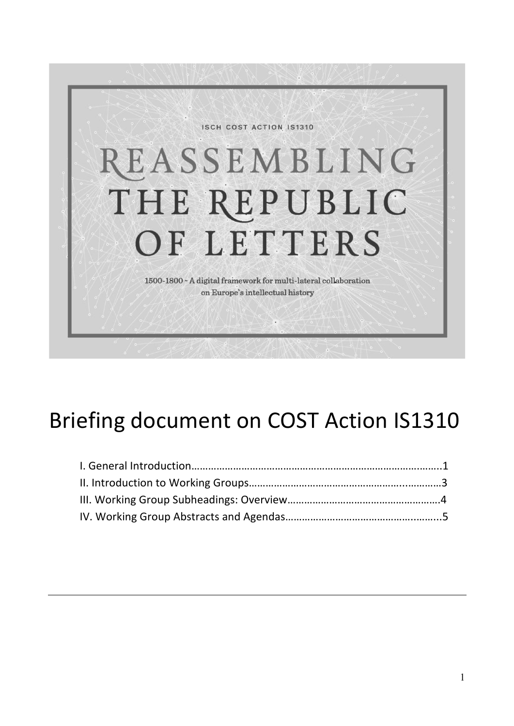

# Briefing document on COST Action IS1310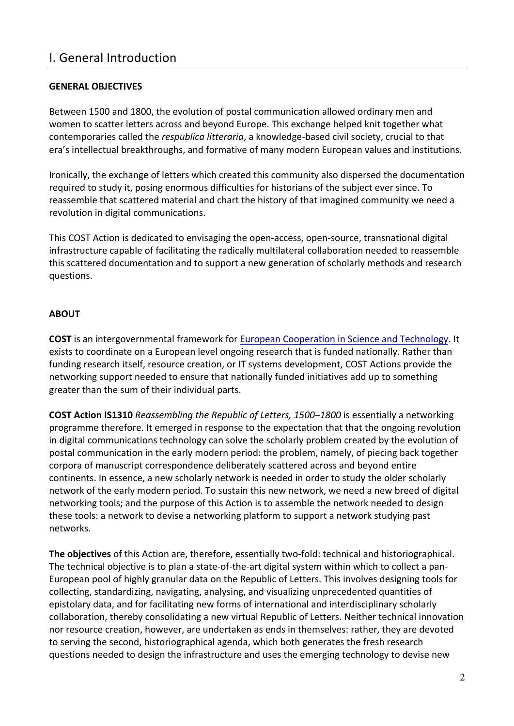# I. General Introduction

# **GENERAL OBJECTIVES**

Between 1500 and 1800, the evolution of postal communication allowed ordinary men and women to scatter letters across and beyond Europe. This exchange helped knit together what contemporaries called the *respublica litteraria*, a knowledge-based civil society, crucial to that era's intellectual breakthroughs, and formative of many modern European values and institutions.

Ironically, the exchange of letters which created this community also dispersed the documentation required to study it, posing enormous difficulties for historians of the subject ever since. To reassemble that scattered material and chart the history of that imagined community we need a revolution in digital communications.

This COST Action is dedicated to envisaging the open-access, open-source, transnational digital infrastructure capable of facilitating the radically multilateral collaboration needed to reassemble this scattered documentation and to support a new generation of scholarly methods and research questions.

# **ABOUT**

**COST** is an intergovernmental framework for European Cooperation in Science and Technology. It exists to coordinate on a European level ongoing research that is funded nationally. Rather than funding research itself, resource creation, or IT systems development, COST Actions provide the networking support needed to ensure that nationally funded initiatives add up to something greater than the sum of their individual parts.

**COST Action IS1310** *Reassembling the Republic of Letters, 1500–1800* is essentially a networking programme therefore. It emerged in response to the expectation that that the ongoing revolution in digital communications technology can solve the scholarly problem created by the evolution of postal communication in the early modern period: the problem, namely, of piecing back together corpora of manuscript correspondence deliberately scattered across and beyond entire continents. In essence, a new scholarly network is needed in order to study the older scholarly network of the early modern period. To sustain this new network, we need a new breed of digital networking tools; and the purpose of this Action is to assemble the network needed to design these tools: a network to devise a networking platform to support a network studying past networks. 

**The objectives** of this Action are, therefore, essentially two-fold: technical and historiographical. The technical objective is to plan a state-of-the-art digital system within which to collect a pan-European pool of highly granular data on the Republic of Letters. This involves designing tools for collecting, standardizing, navigating, analysing, and visualizing unprecedented quantities of epistolary data, and for facilitating new forms of international and interdisciplinary scholarly collaboration, thereby consolidating a new virtual Republic of Letters. Neither technical innovation nor resource creation, however, are undertaken as ends in themselves: rather, they are devoted to serving the second, historiographical agenda, which both generates the fresh research questions needed to design the infrastructure and uses the emerging technology to devise new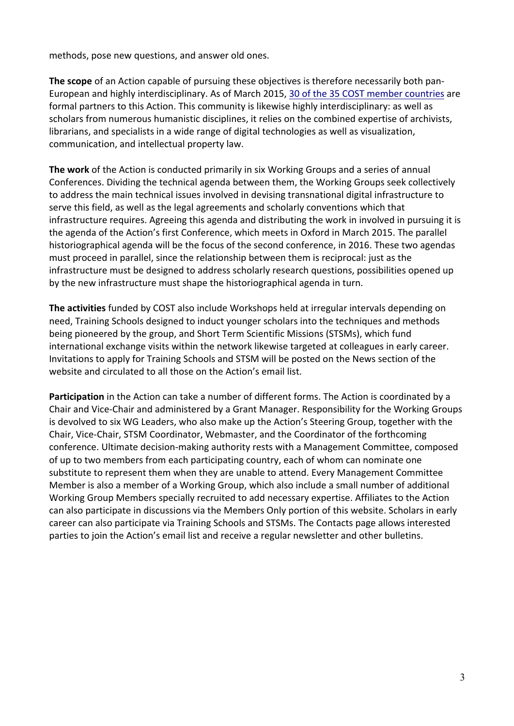methods, pose new questions, and answer old ones.

**The scope** of an Action capable of pursuing these objectives is therefore necessarily both pan-European and highly interdisciplinary. As of March 2015, 30 of the 35 COST member countries are formal partners to this Action. This community is likewise highly interdisciplinary: as well as scholars from numerous humanistic disciplines, it relies on the combined expertise of archivists, librarians, and specialists in a wide range of digital technologies as well as visualization, communication, and intellectual property law.

**The work** of the Action is conducted primarily in six Working Groups and a series of annual Conferences. Dividing the technical agenda between them, the Working Groups seek collectively to address the main technical issues involved in devising transnational digital infrastructure to serve this field, as well as the legal agreements and scholarly conventions which that infrastructure requires. Agreeing this agenda and distributing the work in involved in pursuing it is the agenda of the Action's first Conference, which meets in Oxford in March 2015. The parallel historiographical agenda will be the focus of the second conference, in 2016. These two agendas must proceed in parallel, since the relationship between them is reciprocal: just as the infrastructure must be designed to address scholarly research questions, possibilities opened up by the new infrastructure must shape the historiographical agenda in turn.

**The activities** funded by COST also include Workshops held at irregular intervals depending on need, Training Schools designed to induct younger scholars into the techniques and methods being pioneered by the group, and Short Term Scientific Missions (STSMs), which fund international exchange visits within the network likewise targeted at colleagues in early career. Invitations to apply for Training Schools and STSM will be posted on the News section of the website and circulated to all those on the Action's email list.

Participation in the Action can take a number of different forms. The Action is coordinated by a Chair and Vice-Chair and administered by a Grant Manager. Responsibility for the Working Groups is devolved to six WG Leaders, who also make up the Action's Steering Group, together with the Chair, Vice-Chair, STSM Coordinator, Webmaster, and the Coordinator of the forthcoming conference. Ultimate decision-making authority rests with a Management Committee, composed of up to two members from each participating country, each of whom can nominate one substitute to represent them when they are unable to attend. Every Management Committee Member is also a member of a Working Group, which also include a small number of additional Working Group Members specially recruited to add necessary expertise. Affiliates to the Action can also participate in discussions via the Members Only portion of this website. Scholars in early career can also participate via Training Schools and STSMs. The Contacts page allows interested parties to join the Action's email list and receive a regular newsletter and other bulletins.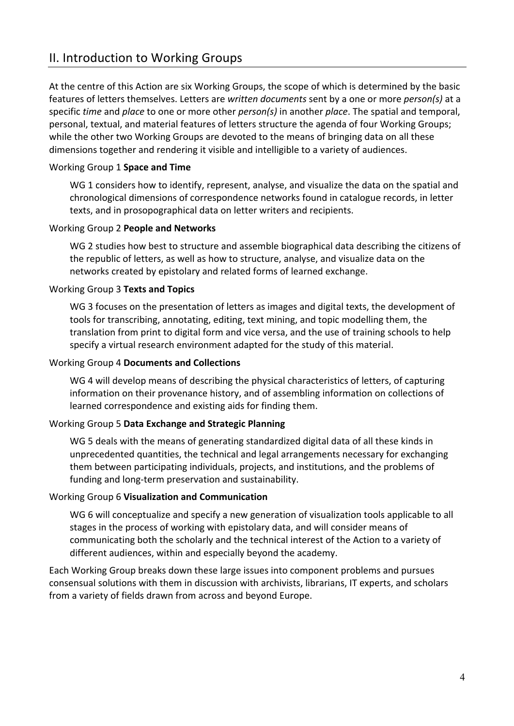# II. Introduction to Working Groups

At the centre of this Action are six Working Groups, the scope of which is determined by the basic features of letters themselves. Letters are *written documents* sent by a one or more *person(s)* at a specific *time* and *place* to one or more other *person(s)* in another *place*. The spatial and temporal, personal, textual, and material features of letters structure the agenda of four Working Groups; while the other two Working Groups are devoted to the means of bringing data on all these dimensions together and rendering it visible and intelligible to a variety of audiences.

### **Working Group 1 Space and Time**

WG 1 considers how to identify, represent, analyse, and visualize the data on the spatial and chronological dimensions of correspondence networks found in catalogue records, in letter texts, and in prosopographical data on letter writers and recipients.

### **Working Group 2 People and Networks**

WG 2 studies how best to structure and assemble biographical data describing the citizens of the republic of letters, as well as how to structure, analyse, and visualize data on the networks created by epistolary and related forms of learned exchange.

### Working Group 3 **Texts and Topics**

WG 3 focuses on the presentation of letters as images and digital texts, the development of tools for transcribing, annotating, editing, text mining, and topic modelling them, the translation from print to digital form and vice versa, and the use of training schools to help specify a virtual research environment adapted for the study of this material.

### **Working Group 4 Documents and Collections**

WG 4 will develop means of describing the physical characteristics of letters, of capturing information on their provenance history, and of assembling information on collections of learned correspondence and existing aids for finding them.

### Working Group 5 Data Exchange and Strategic Planning

WG 5 deals with the means of generating standardized digital data of all these kinds in unprecedented quantities, the technical and legal arrangements necessary for exchanging them between participating individuals, projects, and institutions, and the problems of funding and long-term preservation and sustainability.

### Working Group 6 Visualization and Communication

WG 6 will conceptualize and specify a new generation of visualization tools applicable to all stages in the process of working with epistolary data, and will consider means of communicating both the scholarly and the technical interest of the Action to a variety of different audiences, within and especially beyond the academy.

Each Working Group breaks down these large issues into component problems and pursues consensual solutions with them in discussion with archivists, librarians, IT experts, and scholars from a variety of fields drawn from across and beyond Europe.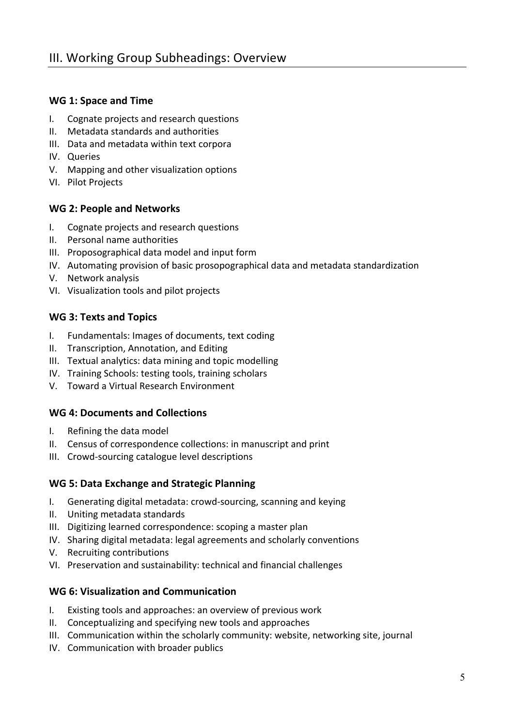# WG 1: Space and Time

- I. Cognate projects and research questions
- II. Metadata standards and authorities
- III. Data and metadata within text corpora
- IV. Queries
- V. Mapping and other visualization options
- VI. Pilot Projects

# **WG 2: People and Networks**

- I. Cognate projects and research questions
- II. Personal name authorities
- III. Proposographical data model and input form
- IV. Automating provision of basic prosopographical data and metadata standardization
- V. Network analysis
- VI. Visualization tools and pilot projects

# **WG 3: Texts and Topics**

- I. Fundamentals: Images of documents, text coding
- II. Transcription, Annotation, and Editing
- III. Textual analytics: data mining and topic modelling
- IV. Training Schools: testing tools, training scholars
- V. Toward a Virtual Research Environment

# **WG 4: Documents and Collections**

- I. Refining the data model
- II. Census of correspondence collections: in manuscript and print
- III. Crowd-sourcing catalogue level descriptions

# **WG 5: Data Exchange and Strategic Planning**

- I. Generating digital metadata: crowd-sourcing, scanning and keying
- II. Uniting metadata standards
- III. Digitizing learned correspondence: scoping a master plan
- IV. Sharing digital metadata: legal agreements and scholarly conventions
- V. Recruiting contributions
- VI. Preservation and sustainability: technical and financial challenges

### **WG 6: Visualization and Communication**

- I. Existing tools and approaches: an overview of previous work
- II. Conceptualizing and specifying new tools and approaches
- III. Communication within the scholarly community: website, networking site, journal
- IV. Communication with broader publics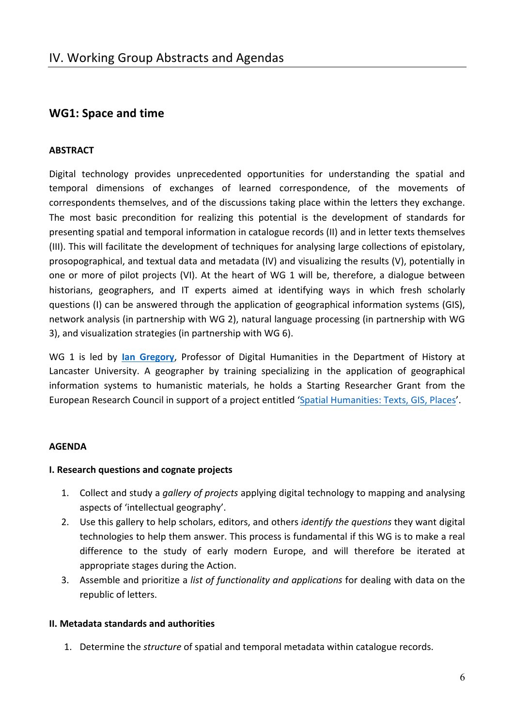# **WG1: Space and time**

### **ABSTRACT**

Digital technology provides unprecedented opportunities for understanding the spatial and temporal dimensions of exchanges of learned correspondence, of the movements of correspondents themselves, and of the discussions taking place within the letters they exchange. The most basic precondition for realizing this potential is the development of standards for presenting spatial and temporal information in catalogue records (II) and in letter texts themselves (III). This will facilitate the development of techniques for analysing large collections of epistolary, prosopographical, and textual data and metadata (IV) and visualizing the results (V), potentially in one or more of pilot projects (VI). At the heart of WG 1 will be, therefore, a dialogue between historians, geographers, and IT experts aimed at identifying ways in which fresh scholarly questions (I) can be answered through the application of geographical information systems (GIS), network analysis (in partnership with WG 2), natural language processing (in partnership with WG 3), and visualization strategies (in partnership with WG 6).

WG 1 is led by lan Gregory, Professor of Digital Humanities in the Department of History at Lancaster University. A geographer by training specializing in the application of geographical information systems to humanistic materials, he holds a Starting Researcher Grant from the European Research Council in support of a project entitled 'Spatial Humanities: Texts, GIS, Places'.

### **AGENDA**

### **I. Research questions and cognate projects**

- 1. Collect and study a *gallery of projects* applying digital technology to mapping and analysing aspects of 'intellectual geography'.
- 2. Use this gallery to help scholars, editors, and others *identify the questions* they want digital technologies to help them answer. This process is fundamental if this WG is to make a real difference to the study of early modern Europe, and will therefore be iterated at appropriate stages during the Action.
- 3. Assemble and prioritize a *list of functionality and applications* for dealing with data on the republic of letters.

### **II. Metadata standards and authorities**

1. Determine the *structure* of spatial and temporal metadata within catalogue records.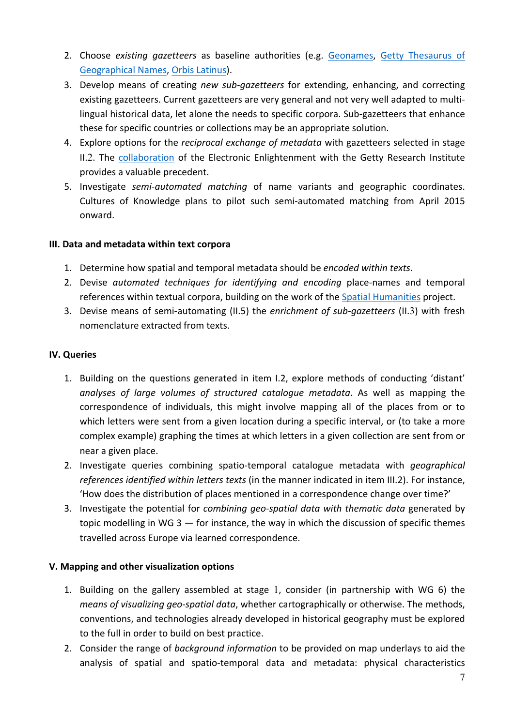- 2. Choose *existing gazetteers* as baseline authorities (e.g. Geonames, Getty Thesaurus of Geographical Names, Orbis Latinus).
- 3. Develop means of creating *new sub-gazetteers* for extending, enhancing, and correcting existing gazetteers. Current gazetteers are very general and not very well adapted to multilingual historical data, let alone the needs to specific corpora. Sub-gazetteers that enhance these for specific countries or collections may be an appropriate solution.
- 4. Explore options for the *reciprocal exchange of metadata* with gazetteers selected in stage II.2. The collaboration of the Electronic Enlightenment with the Getty Research Institute provides a valuable precedent.
- 5. Investigate *semi-automated matching* of name variants and geographic coordinates. Cultures of Knowledge plans to pilot such semi-automated matching from April 2015 onward.

# **III. Data and metadata within text corpora**

- 1. Determine how spatial and temporal metadata should be *encoded within texts*.
- 2. Devise *automated techniques for identifying and encoding* place-names and temporal references within textual corpora, building on the work of the Spatial Humanities project.
- 3. Devise means of semi-automating (II.5) the *enrichment of sub-gazetteers* (II.3) with fresh nomenclature extracted from texts.

# **IV. Queries**

- 1. Building on the questions generated in item I.2, explore methods of conducting 'distant' analyses of large volumes of structured catalogue metadata. As well as mapping the correspondence of individuals, this might involve mapping all of the places from or to which letters were sent from a given location during a specific interval, or (to take a more complex example) graphing the times at which letters in a given collection are sent from or near a given place.
- 2. Investigate queries combining spatio-temporal catalogue metadata with *geographical* references *identified within letters texts* (in the manner indicated in item III.2). For instance, 'How does the distribution of places mentioned in a correspondence change over time?'
- 3. Investigate the potential for *combining geo-spatial data with thematic data* generated by topic modelling in WG 3  $-$  for instance, the way in which the discussion of specific themes travelled across Europe via learned correspondence.

# **V. Mapping and other visualization options**

- 1. Building on the gallery assembled at stage 1, consider (in partnership with WG 6) the *means of visualizing geo-spatial data*, whether cartographically or otherwise. The methods, conventions, and technologies already developed in historical geography must be explored to the full in order to build on best practice.
- 2. Consider the range of *background information* to be provided on map underlays to aid the analysis of spatial and spatio-temporal data and metadata: physical characteristics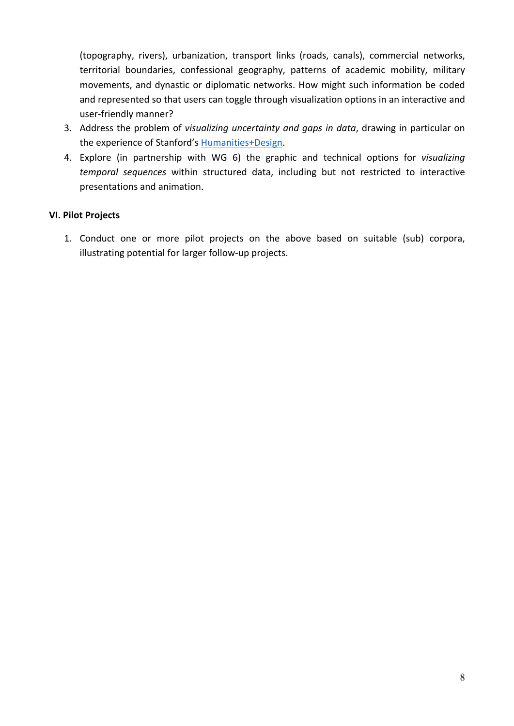(topography, rivers), urbanization, transport links (roads, canals), commercial networks, territorial boundaries, confessional geography, patterns of academic mobility, military movements, and dynastic or diplomatic networks. How might such information be coded and represented so that users can toggle through visualization options in an interactive and user-friendly manner?

- 3. Address the problem of visualizing uncertainty and gaps in data, drawing in particular on the experience of Stanford's Humanities+Design.
- 4. Explore (in partnership with WG 6) the graphic and technical options for *visualizing* temporal sequences within structured data, including but not restricted to interactive presentations and animation.

# **VI. Pilot Projects**

1. Conduct one or more pilot projects on the above based on suitable (sub) corpora, illustrating potential for larger follow-up projects.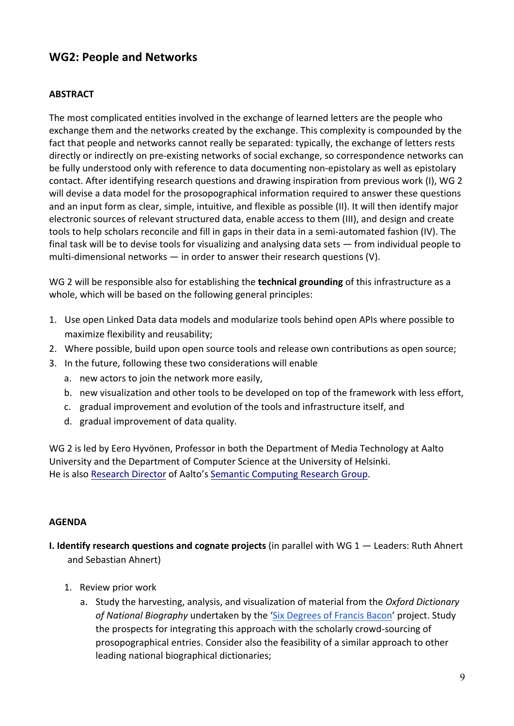# **WG2: People and Networks**

### **ABSTRACT**

The most complicated entities involved in the exchange of learned letters are the people who exchange them and the networks created by the exchange. This complexity is compounded by the fact that people and networks cannot really be separated: typically, the exchange of letters rests directly or indirectly on pre-existing networks of social exchange, so correspondence networks can be fully understood only with reference to data documenting non-epistolary as well as epistolary contact. After identifying research questions and drawing inspiration from previous work (I), WG 2 will devise a data model for the prosopographical information required to answer these questions and an input form as clear, simple, intuitive, and flexible as possible (II). It will then identify major electronic sources of relevant structured data, enable access to them (III), and design and create tools to help scholars reconcile and fill in gaps in their data in a semi-automated fashion (IV). The final task will be to devise tools for visualizing and analysing data sets  $-$  from individual people to multi-dimensional networks  $-$  in order to answer their research questions (V).

WG 2 will be responsible also for establishing the **technical grounding** of this infrastructure as a whole, which will be based on the following general principles:

- 1. Use open Linked Data data models and modularize tools behind open APIs where possible to maximize flexibility and reusability;
- 2. Where possible, build upon open source tools and release own contributions as open source;
- 3. In the future, following these two considerations will enable
	- a. new actors to join the network more easily,
	- b. new visualization and other tools to be developed on top of the framework with less effort,
	- c. gradual improvement and evolution of the tools and infrastructure itself, and
	- d. gradual improvement of data quality.

WG 2 is led by Eero Hyvönen, Professor in both the Department of Media Technology at Aalto University and the Department of Computer Science at the University of Helsinki. He is also Research Director of Aalto's Semantic Computing Research Group.

### **AGENDA**

- **I. Identify research questions and cognate projects** (in parallel with WG 1 Leaders: Ruth Ahnert and Sebastian Ahnert)
	- 1. Review prior work
		- a. Study the harvesting, analysis, and visualization of material from the Oxford Dictionary of National Biography undertaken by the 'Six Degrees of Francis Bacon' project. Study the prospects for integrating this approach with the scholarly crowd-sourcing of prosopographical entries. Consider also the feasibility of a similar approach to other leading national biographical dictionaries;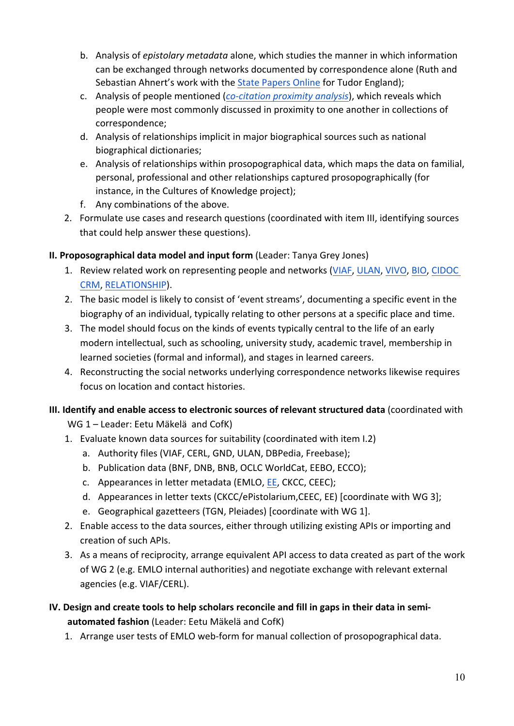- b. Analysis of *epistolary metadata* alone, which studies the manner in which information can be exchanged through networks documented by correspondence alone (Ruth and Sebastian Ahnert's work with the State Papers Online for Tudor England);
- c. Analysis of people mentioned (*co-citation proximity analysis*), which reveals which people were most commonly discussed in proximity to one another in collections of correspondence;
- d. Analysis of relationships implicit in major biographical sources such as national biographical dictionaries;
- e. Analysis of relationships within prosopographical data, which maps the data on familial, personal, professional and other relationships captured prosopographically (for instance, in the Cultures of Knowledge project);
- f. Any combinations of the above.
- 2. Formulate use cases and research questions (coordinated with item III, identifying sources that could help answer these questions).

# **II. Proposographical data model and input form (Leader: Tanya Grey Jones)**

- 1. Review related work on representing people and networks (VIAF, ULAN, VIVO, BIO, CIDOC CRM, RELATIONSHIP).
- 2. The basic model is likely to consist of 'event streams', documenting a specific event in the biography of an individual, typically relating to other persons at a specific place and time.
- 3. The model should focus on the kinds of events typically central to the life of an early modern intellectual, such as schooling, university study, academic travel, membership in learned societies (formal and informal), and stages in learned careers.
- 4. Reconstructing the social networks underlying correspondence networks likewise requires focus on location and contact histories.

# **III. Identify and enable access to electronic sources of relevant structured data (coordinated with** WG 1 - Leader: Eetu Mäkelä and CofK)

- 1. Evaluate known data sources for suitability (coordinated with item I.2)
	- a. Authority files (VIAF, CERL, GND, ULAN, DBPedia, Freebase);
	- b. Publication data (BNF, DNB, BNB, OCLC WorldCat, EEBO, ECCO);
	- c. Appearances in letter metadata (EMLO, EE, CKCC, CEEC);
	- d. Appearances in letter texts (CKCC/ePistolarium,CEEC, EE) [coordinate with WG 3];
	- e. Geographical gazetteers (TGN, Pleiades) [coordinate with WG 1].
- 2. Enable access to the data sources, either through utilizing existing APIs or importing and creation of such APIs.
- 3. As a means of reciprocity, arrange equivalent API access to data created as part of the work of WG 2 (e.g. EMLO internal authorities) and negotiate exchange with relevant external agencies (e.g. VIAF/CERL).

# **IV.** Design and create tools to help scholars reconcile and fill in gaps in their data in semiautomated fashion (Leader: Eetu Mäkelä and CofK)

1. Arrange user tests of EMLO web-form for manual collection of prosopographical data.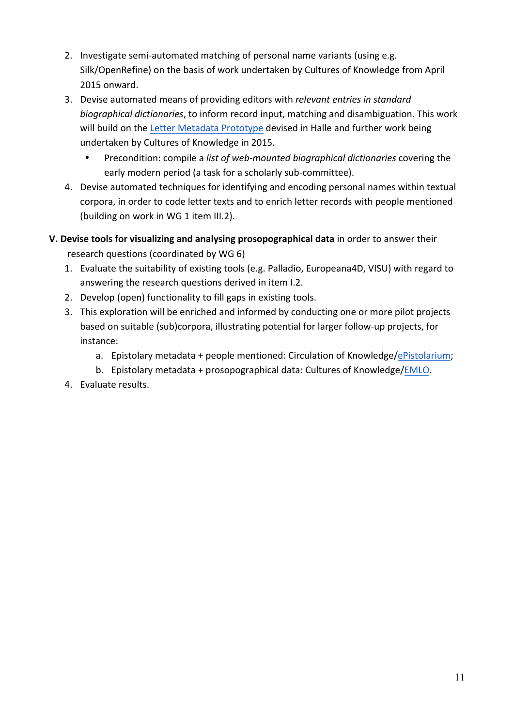- 2. Investigate semi-automated matching of personal name variants (using e.g. Silk/OpenRefine) on the basis of work undertaken by Cultures of Knowledge from April 2015 onward.
- 3. Devise automated means of providing editors with *relevant entries in standard* biographical dictionaries, to inform record input, matching and disambiguation. This work will build on the Letter Metadata Prototype devised in Halle and further work being undertaken by Cultures of Knowledge in 2015.
	- Precondition: compile a *list of web-mounted biographical dictionaries* covering the early modern period (a task for a scholarly sub-committee).
- 4. Devise automated techniques for identifying and encoding personal names within textual corpora, in order to code letter texts and to enrich letter records with people mentioned (building on work in WG 1 item III.2).
- **V.** Devise tools for visualizing and analysing prosopographical data in order to answer their research questions (coordinated by WG 6)
	- 1. Evaluate the suitability of existing tools (e.g. Palladio, Europeana4D, VISU) with regard to answering the research questions derived in item I.2.
	- 2. Develop (open) functionality to fill gaps in existing tools.
	- 3. This exploration will be enriched and informed by conducting one or more pilot projects based on suitable (sub)corpora, illustrating potential for larger follow-up projects, for instance:
		- a. Epistolary metadata + people mentioned: Circulation of Knowledge/ePistolarium;
		- b. Epistolary metadata + prosopographical data: Cultures of Knowledge/EMLO.
	- 4. Evaluate results.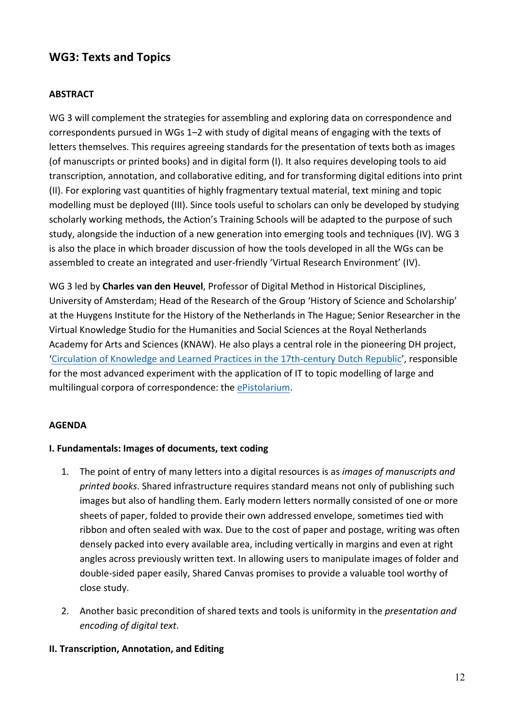# **WG3: Texts and Topics**

### **ABSTRACT**

WG 3 will complement the strategies for assembling and exploring data on correspondence and correspondents pursued in WGs 1-2 with study of digital means of engaging with the texts of letters themselves. This requires agreeing standards for the presentation of texts both as images (of manuscripts or printed books) and in digital form (I). It also requires developing tools to aid transcription, annotation, and collaborative editing, and for transforming digital editions into print (II). For exploring vast quantities of highly fragmentary textual material, text mining and topic modelling must be deployed (III). Since tools useful to scholars can only be developed by studying scholarly working methods, the Action's Training Schools will be adapted to the purpose of such study, alongside the induction of a new generation into emerging tools and techniques (IV). WG 3 is also the place in which broader discussion of how the tools developed in all the WGs can be assembled to create an integrated and user-friendly 'Virtual Research Environment' (IV).

WG 3 led by **Charles van den Heuvel**, Professor of Digital Method in Historical Disciplines, University of Amsterdam; Head of the Research of the Group 'History of Science and Scholarship' at the Huygens Institute for the History of the Netherlands in The Hague; Senior Researcher in the Virtual Knowledge Studio for the Humanities and Social Sciences at the Royal Netherlands Academy for Arts and Sciences (KNAW). He also plays a central role in the pioneering DH project, 'Circulation of Knowledge and Learned Practices in the 17th-century Dutch Republic', responsible for the most advanced experiment with the application of IT to topic modelling of large and multilingual corpora of correspondence: the ePistolarium.

### **AGENDA**

### **I. Fundamentals: Images of documents, text coding**

- 1. The point of entry of many letters into a digital resources is as *images of manuscripts and* printed books. Shared infrastructure requires standard means not only of publishing such images but also of handling them. Early modern letters normally consisted of one or more sheets of paper, folded to provide their own addressed envelope, sometimes tied with ribbon and often sealed with wax. Due to the cost of paper and postage, writing was often densely packed into every available area, including vertically in margins and even at right angles across previously written text. In allowing users to manipulate images of folder and double-sided paper easily, Shared Canvas promises to provide a valuable tool worthy of close study.
- 2. Another basic precondition of shared texts and tools is uniformity in the *presentation and encoding of digital text*.

### **II. Transcription, Annotation, and Editing**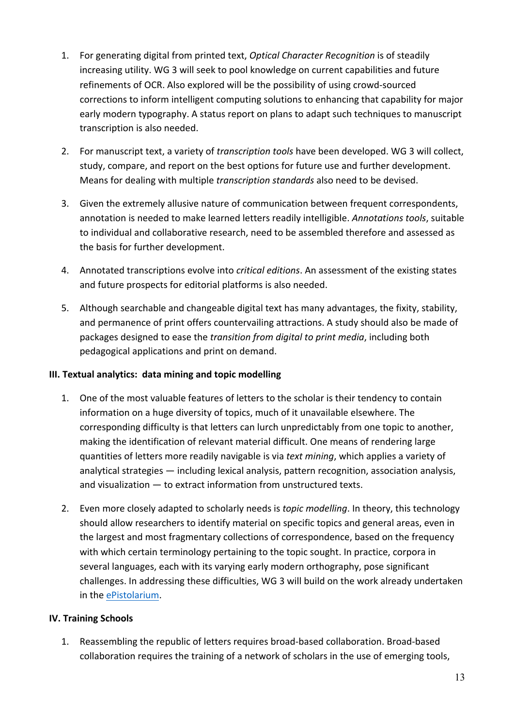- 1. For generating digital from printed text, *Optical Character Recognition* is of steadily increasing utility. WG 3 will seek to pool knowledge on current capabilities and future refinements of OCR. Also explored will be the possibility of using crowd-sourced corrections to inform intelligent computing solutions to enhancing that capability for major early modern typography. A status report on plans to adapt such techniques to manuscript transcription is also needed.
- 2. For manuscript text, a variety of *transcription tools* have been developed. WG 3 will collect, study, compare, and report on the best options for future use and further development. Means for dealing with multiple *transcription standards* also need to be devised.
- 3. Given the extremely allusive nature of communication between frequent correspondents, annotation is needed to make learned letters readily intelligible. Annotations tools, suitable to individual and collaborative research, need to be assembled therefore and assessed as the basis for further development.
- 4. Annotated transcriptions evolve into *critical editions*. An assessment of the existing states and future prospects for editorial platforms is also needed.
- 5. Although searchable and changeable digital text has many advantages, the fixity, stability, and permanence of print offers countervailing attractions. A study should also be made of packages designed to ease the *transition from digital to print media*, including both pedagogical applications and print on demand.

### **III.** Textual analytics: data mining and topic modelling

- 1. One of the most valuable features of letters to the scholar is their tendency to contain information on a huge diversity of topics, much of it unavailable elsewhere. The corresponding difficulty is that letters can lurch unpredictably from one topic to another, making the identification of relevant material difficult. One means of rendering large quantities of letters more readily navigable is via *text mining*, which applies a variety of analytical strategies  $-$  including lexical analysis, pattern recognition, association analysis, and visualization  $-$  to extract information from unstructured texts.
- 2. Even more closely adapted to scholarly needs is *topic modelling*. In theory, this technology should allow researchers to identify material on specific topics and general areas, even in the largest and most fragmentary collections of correspondence, based on the frequency with which certain terminology pertaining to the topic sought. In practice, corpora in several languages, each with its varying early modern orthography, pose significant challenges. In addressing these difficulties, WG 3 will build on the work already undertaken in the ePistolarium.

### **IV. Training Schools**

1. Reassembling the republic of letters requires broad-based collaboration. Broad-based collaboration requires the training of a network of scholars in the use of emerging tools,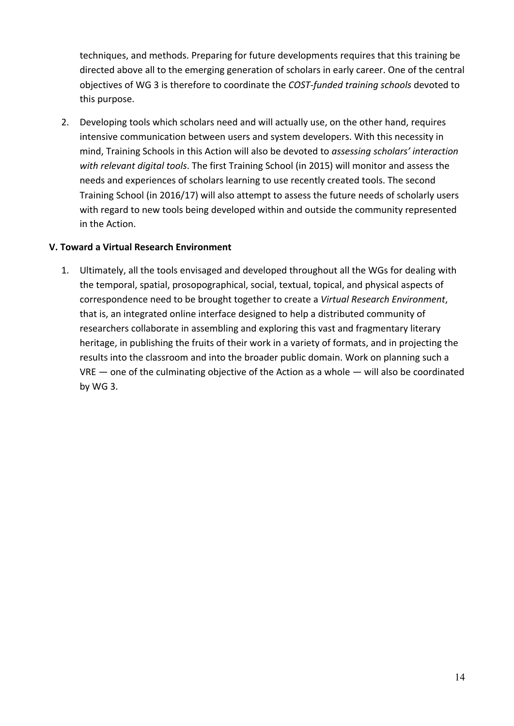techniques, and methods. Preparing for future developments requires that this training be directed above all to the emerging generation of scholars in early career. One of the central objectives of WG 3 is therefore to coordinate the *COST-funded training schools* devoted to this purpose.

2. Developing tools which scholars need and will actually use, on the other hand, requires intensive communication between users and system developers. With this necessity in mind, Training Schools in this Action will also be devoted to *assessing scholars' interaction* with relevant digital tools. The first Training School (in 2015) will monitor and assess the needs and experiences of scholars learning to use recently created tools. The second Training School (in 2016/17) will also attempt to assess the future needs of scholarly users with regard to new tools being developed within and outside the community represented in the Action.

### **V. Toward a Virtual Research Environment**

1. Ultimately, all the tools envisaged and developed throughout all the WGs for dealing with the temporal, spatial, prosopographical, social, textual, topical, and physical aspects of correspondence need to be brought together to create a Virtual Research Environment, that is, an integrated online interface designed to help a distributed community of researchers collaborate in assembling and exploring this vast and fragmentary literary heritage, in publishing the fruits of their work in a variety of formats, and in projecting the results into the classroom and into the broader public domain. Work on planning such a  $VRE$  — one of the culminating objective of the Action as a whole — will also be coordinated by WG 3.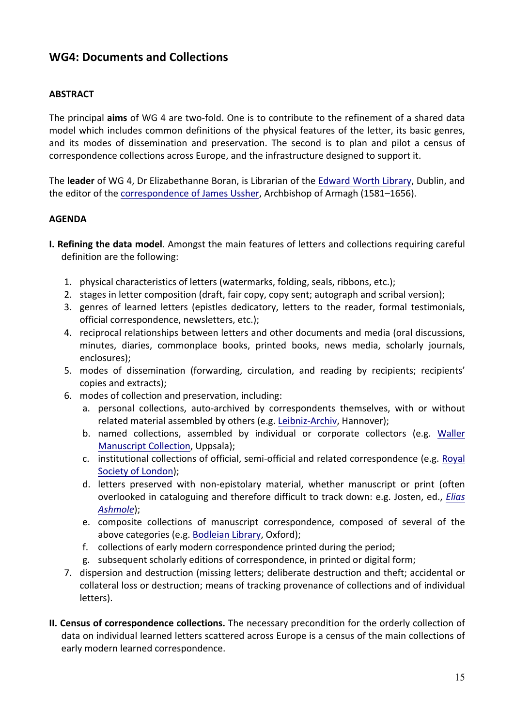# **WG4: Documents and Collections**

### **ABSTRACT**

The principal **aims** of WG 4 are two-fold. One is to contribute to the refinement of a shared data model which includes common definitions of the physical features of the letter, its basic genres, and its modes of dissemination and preservation. The second is to plan and pilot a census of correspondence collections across Europe, and the infrastructure designed to support it.

The **leader** of WG 4, Dr Elizabethanne Boran, is Librarian of the Edward Worth Library, Dublin, and the editor of the correspondence of James Ussher, Archbishop of Armagh (1581–1656).

### **AGENDA**

- **I. Refining the data model**. Amongst the main features of letters and collections requiring careful definition are the following:
	- 1. physical characteristics of letters (watermarks, folding, seals, ribbons, etc.);
	- 2. stages in letter composition (draft, fair copy, copy sent; autograph and scribal version);
	- 3. genres of learned letters (epistles dedicatory, letters to the reader, formal testimonials, official correspondence, newsletters, etc.);
	- 4. reciprocal relationships between letters and other documents and media (oral discussions, minutes, diaries, commonplace books, printed books, news media, scholarly journals, enclosures);
	- 5. modes of dissemination (forwarding, circulation, and reading by recipients; recipients' copies and extracts);
	- 6. modes of collection and preservation, including:
		- a. personal collections, auto-archived by correspondents themselves, with or without related material assembled by others (e.g. Leibniz-Archiv, Hannover);
		- b. named collections, assembled by individual or corporate collectors (e.g. Waller Manuscript Collection, Uppsala);
		- c. institutional collections of official, semi-official and related correspondence (e.g. Royal Society of London);
		- d. letters preserved with non-epistolary material, whether manuscript or print (often overlooked in cataloguing and therefore difficult to track down: e.g. Josten, ed., *Elias Ashmole*);
		- e. composite collections of manuscript correspondence, composed of several of the above categories (e.g. Bodleian Library, Oxford);
		- f. collections of early modern correspondence printed during the period;
		- g. subsequent scholarly editions of correspondence, in printed or digital form;
	- 7. dispersion and destruction (missing letters; deliberate destruction and theft; accidental or collateral loss or destruction; means of tracking provenance of collections and of individual letters).
- **II. Census of correspondence collections.** The necessary precondition for the orderly collection of data on individual learned letters scattered across Europe is a census of the main collections of early modern learned correspondence.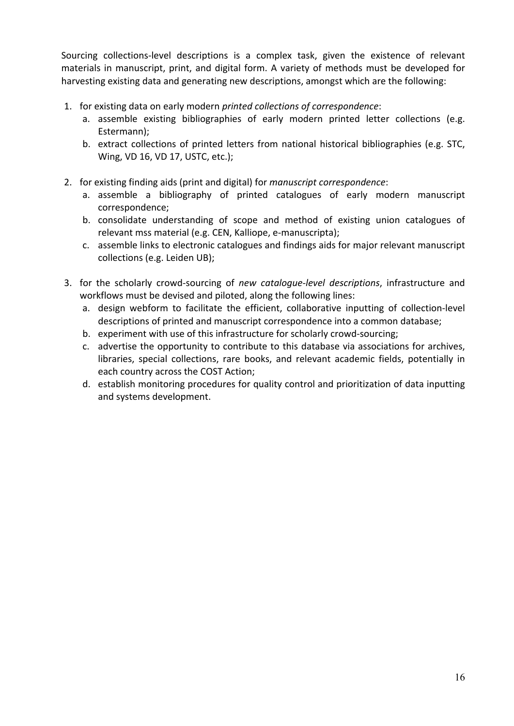Sourcing collections-level descriptions is a complex task, given the existence of relevant materials in manuscript, print, and digital form. A variety of methods must be developed for harvesting existing data and generating new descriptions, amongst which are the following:

- 1. for existing data on early modern *printed collections of correspondence*:
	- a. assemble existing bibliographies of early modern printed letter collections (e.g. Estermann);
	- b. extract collections of printed letters from national historical bibliographies (e.g. STC, Wing, VD 16, VD 17, USTC, etc.);
- 2. for existing finding aids (print and digital) for *manuscript correspondence*:
	- a. assemble a bibliography of printed catalogues of early modern manuscript correspondence;
	- b. consolidate understanding of scope and method of existing union catalogues of relevant mss material (e.g. CEN, Kalliope, e-manuscripta);
	- c. assemble links to electronic catalogues and findings aids for major relevant manuscript collections (e.g. Leiden UB);
- 3. for the scholarly crowd-sourcing of *new cataloque-level descriptions*, infrastructure and workflows must be devised and piloted, along the following lines:
	- a. design webform to facilitate the efficient, collaborative inputting of collection-level descriptions of printed and manuscript correspondence into a common database;
	- b. experiment with use of this infrastructure for scholarly crowd-sourcing;
	- c. advertise the opportunity to contribute to this database via associations for archives, libraries, special collections, rare books, and relevant academic fields, potentially in each country across the COST Action;
	- d. establish monitoring procedures for quality control and prioritization of data inputting and systems development.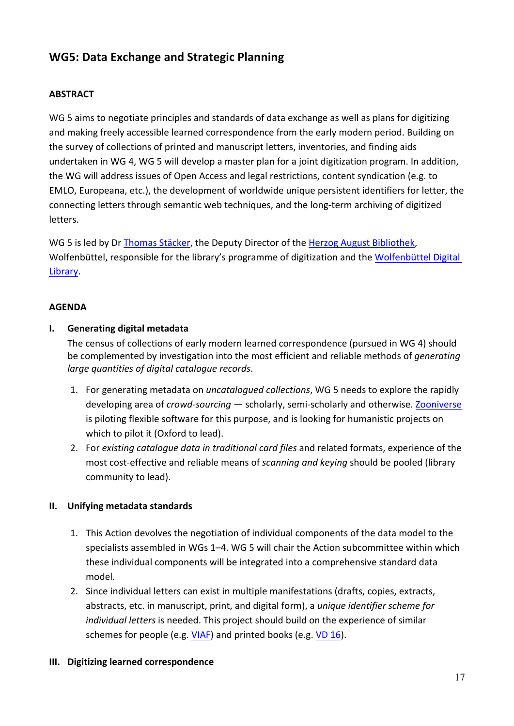# **WG5: Data Exchange and Strategic Planning**

### **ABSTRACT**

WG 5 aims to negotiate principles and standards of data exchange as well as plans for digitizing and making freely accessible learned correspondence from the early modern period. Building on the survey of collections of printed and manuscript letters, inventories, and finding aids undertaken in WG 4, WG 5 will develop a master plan for a joint digitization program. In addition, the WG will address issues of Open Access and legal restrictions, content syndication (e.g. to EMLO, Europeana, etc.), the development of worldwide unique persistent identifiers for letter, the connecting letters through semantic web techniques, and the long-term archiving of digitized letters.

WG 5 is led by Dr Thomas Stäcker, the Deputy Director of the Herzog August Bibliothek, Wolfenbüttel, responsible for the library's programme of digitization and the Wolfenbüttel Digital Library.

### **AGENDA**

### **I.** Generating digital metadata

The census of collections of early modern learned correspondence (pursued in WG 4) should be complemented by investigation into the most efficient and reliable methods of *generating* large quantities of digital catalogue records.

- 1. For generating metadata on *uncatalogued collections*, WG 5 needs to explore the rapidly developing area of *crowd-sourcing* — scholarly, semi-scholarly and otherwise. Zooniverse is piloting flexible software for this purpose, and is looking for humanistic projects on which to pilot it (Oxford to lead).
- 2. For *existing catalogue data in traditional card files* and related formats, experience of the most cost-effective and reliable means of *scanning and keying* should be pooled (library community to lead).

### **II.** Unifying metadata standards

- 1. This Action devolves the negotiation of individual components of the data model to the specialists assembled in WGs  $1-4$ . WG 5 will chair the Action subcommittee within which these individual components will be integrated into a comprehensive standard data model.
- 2. Since individual letters can exist in multiple manifestations (drafts, copies, extracts, abstracts, etc. in manuscript, print, and digital form), a *unique identifier scheme for individual letters* is needed. This project should build on the experience of similar schemes for people (e.g.  $VIAF$ ) and printed books (e.g.  $VD$  16).

### **III.** Digitizing learned correspondence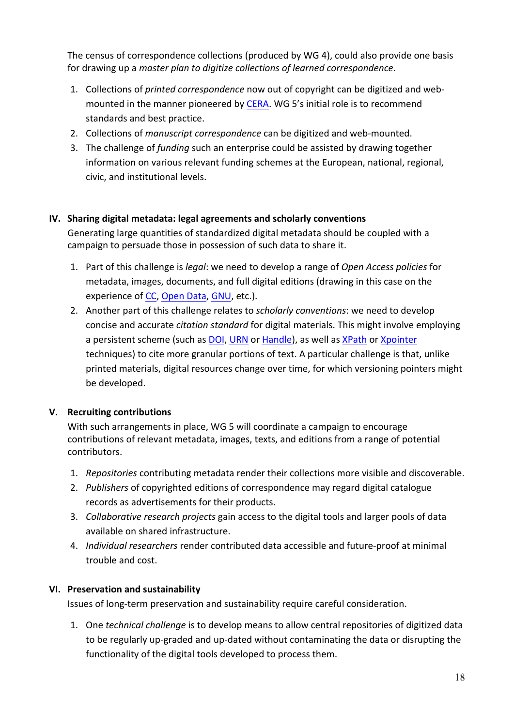The census of correspondence collections (produced by WG 4), could also provide one basis for drawing up a *master plan to digitize collections of learned correspondence*.

- 1. Collections of *printed correspondence* now out of copyright can be digitized and webmounted in the manner pioneered by CERA. WG 5's initial role is to recommend standards and best practice.
- 2. Collections of *manuscript correspondence* can be digitized and web-mounted.
- 3. The challenge of *funding* such an enterprise could be assisted by drawing together information on various relevant funding schemes at the European, national, regional, civic, and institutional levels.

# **IV.** Sharing digital metadata: legal agreements and scholarly conventions

Generating large quantities of standardized digital metadata should be coupled with a campaign to persuade those in possession of such data to share it.

- 1. Part of this challenge is *legal*: we need to develop a range of *Open Access policies* for metadata, images, documents, and full digital editions (drawing in this case on the experience of CC, Open Data, GNU, etc.).
- 2. Another part of this challenge relates to *scholarly conventions*: we need to develop concise and accurate *citation standard* for digital materials. This might involve employing a persistent scheme (such as DOI, URN or Handle), as well as XPath or Xpointer techniques) to cite more granular portions of text. A particular challenge is that, unlike printed materials, digital resources change over time, for which versioning pointers might be developed.

# **V.** Recruiting contributions

With such arrangements in place, WG 5 will coordinate a campaign to encourage contributions of relevant metadata, images, texts, and editions from a range of potential contributors. 

- 1. *Repositories* contributing metadata render their collections more visible and discoverable.
- 2. Publishers of copyrighted editions of correspondence may regard digital catalogue records as advertisements for their products.
- 3. *Collaborative research projects* gain access to the digital tools and larger pools of data available on shared infrastructure.
- 4. *Individual researchers* render contributed data accessible and future-proof at minimal trouble and cost.

# **VI. Preservation and sustainability**

Issues of long-term preservation and sustainability require careful consideration.

1. One *technical challenge* is to develop means to allow central repositories of digitized data to be regularly up-graded and up-dated without contaminating the data or disrupting the functionality of the digital tools developed to process them.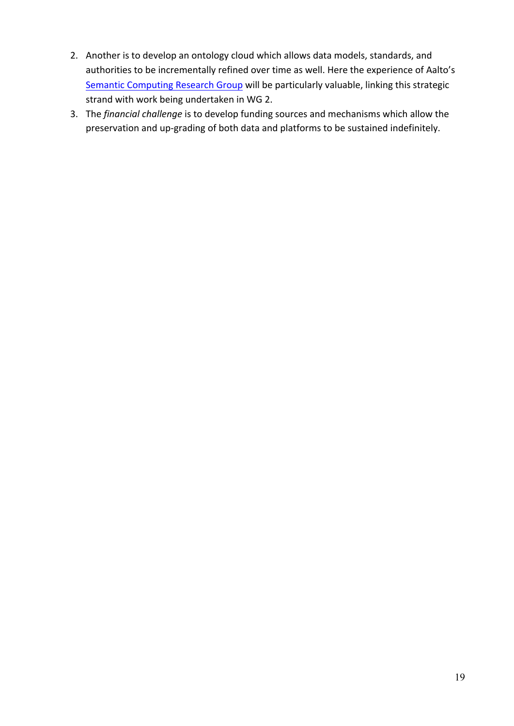- 2. Another is to develop an ontology cloud which allows data models, standards, and authorities to be incrementally refined over time as well. Here the experience of Aalto's Semantic Computing Research Group will be particularly valuable, linking this strategic strand with work being undertaken in WG 2.
- 3. The *financial challenge* is to develop funding sources and mechanisms which allow the preservation and up-grading of both data and platforms to be sustained indefinitely.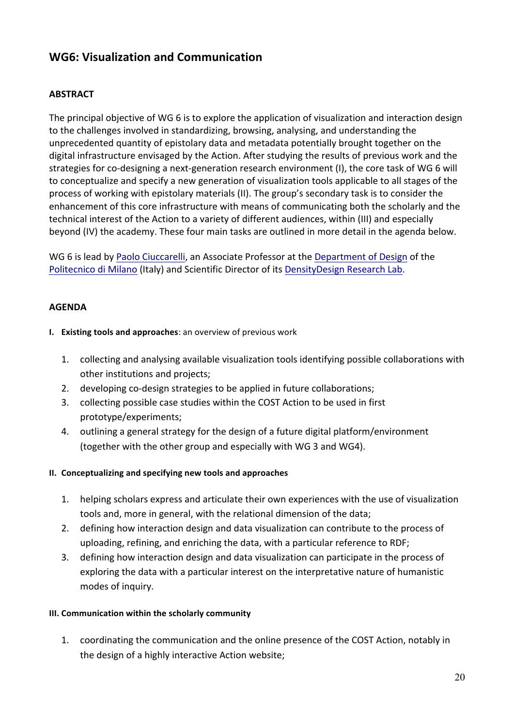# **WG6: Visualization and Communication**

# **ABSTRACT**

The principal objective of WG 6 is to explore the application of visualization and interaction design to the challenges involved in standardizing, browsing, analysing, and understanding the unprecedented quantity of epistolary data and metadata potentially brought together on the digital infrastructure envisaged by the Action. After studying the results of previous work and the strategies for co-designing a next-generation research environment (I), the core task of WG 6 will to conceptualize and specify a new generation of visualization tools applicable to all stages of the process of working with epistolary materials (II). The group's secondary task is to consider the enhancement of this core infrastructure with means of communicating both the scholarly and the technical interest of the Action to a variety of different audiences, within (III) and especially beyond (IV) the academy. These four main tasks are outlined in more detail in the agenda below.

WG 6 is lead by Paolo Ciuccarelli, an Associate Professor at the Department of Design of the Politecnico di Milano (Italy) and Scientific Director of its DensityDesign Research Lab.

### **AGENDA**

- **I.** Existing tools and approaches: an overview of previous work
	- 1. collecting and analysing available visualization tools identifying possible collaborations with other institutions and projects;
	- 2. developing co-design strategies to be applied in future collaborations;
	- 3. collecting possible case studies within the COST Action to be used in first prototype/experiments;
	- 4. outlining a general strategy for the design of a future digital platform/environment (together with the other group and especially with WG 3 and WG4).

### **II.** Conceptualizing and specifying new tools and approaches

- 1. helping scholars express and articulate their own experiences with the use of visualization tools and, more in general, with the relational dimension of the data;
- 2. defining how interaction design and data visualization can contribute to the process of uploading, refining, and enriching the data, with a particular reference to RDF;
- 3. defining how interaction design and data visualization can participate in the process of exploring the data with a particular interest on the interpretative nature of humanistic modes of inquiry.

### **III. Communication within the scholarly community**

1. coordinating the communication and the online presence of the COST Action, notably in the design of a highly interactive Action website;